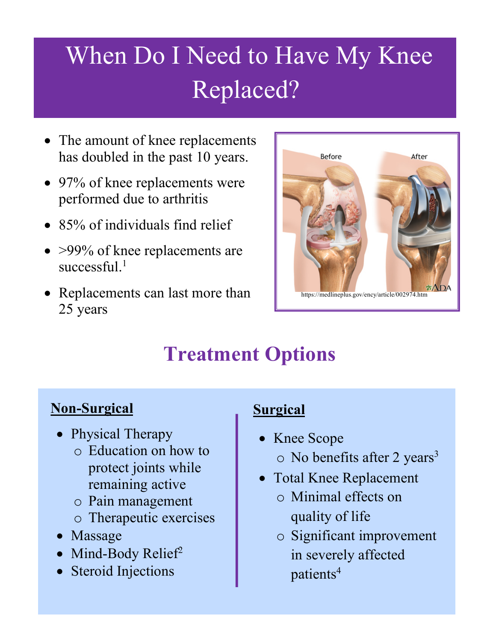# When Do I Need to Have My Knee Replaced?

- The amount of knee replacements has doubled in the past 10 years.
- 97% of knee replacements were performed due to arthritis
- 85% of individuals find relief
- >99% of knee replacements are successful.<sup>1</sup>
- Replacements can last more than 25 years



# **Treatment Options**

# **Non-Surgical**

- Physical Therapy
	- o Education on how to protect joints while remaining active
	- o Pain management
	- o Therapeutic exercises
- Massage
- Mind-Body Relief<sup>2</sup>
- Steroid Injections

# **Surgical**

- Knee Scope  $\circ$  No benefits after 2 years<sup>3</sup>
- Total Knee Replacement
	- o Minimal effects on quality of life
	- o Significant improvement in severely affected patients<sup>4</sup>